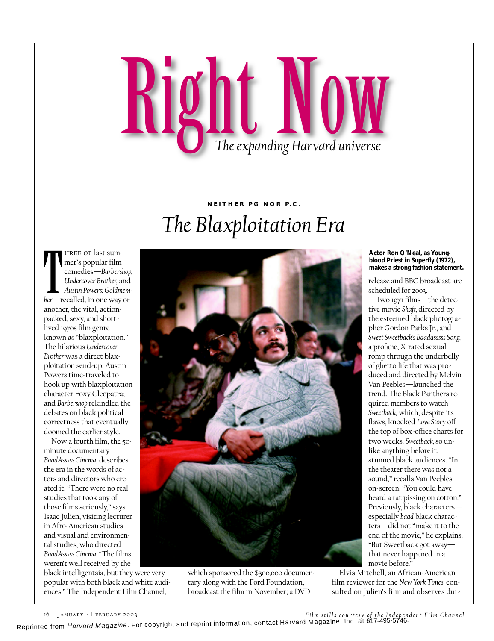## Right Now

## **NEITHER PG NOR P.C.** *The Blaxploitation Era*

 $\begin{bmatrix} h \\ h \\ h \end{bmatrix}$ hree of last summer's popular film comedies—*Barbershop, Undercover Brother,* and *Austin Powers: Goldmember*—recalled, in one way or another, the vital, actionpacked, sexy, and shortlived 1970s film genre known as "blaxploitation." The hilarious *Undercover Brother* was a direct blaxploitation send-up; Austin Powers time-traveled to hook up with blaxploitation character Foxy Cleopatra; and *Barbershop* rekindled the debates on black political correctness that eventually doomed the earlier style.

Now a fourth film, the 50 minute documentary *BaadAsssss Cinema,* describes the era in the words of actors and directors who created it. "There were no real studies that took any of those films seriously," says Isaac Julien, visiting lecturer in Afro-American studies and visual and environmental studies, who directed *BaadAsssss Cinema.* "The films weren't well received by the

black intelligentsia, but they were very popular with both black and white audiences." The Independent Film Channel,



which sponsored the \$500,000 documentary along with the Ford Foundation, broadcast the film in November; a DVD

**Actor Ron O'Neal, as Youngblood Priest in** *Superfly* **(1972), makes a strong fashion statement.**

release and BBC broadcast are scheduled for 2003.

Two 1971 films—the detective movie *Shaft,* directed by the esteemed black photographer Gordon Parks Jr., and *Sweet Sweetback's Baadasssss Song,* a profane, X-rated sexual romp through the underbelly of ghetto life that was produced and directed by Melvin Van Peebles—launched the trend. The Black Panthers required members to watch *Sweetback,* which, despite its flaws, knocked Love Story off the top of box-office charts for two weeks. *Sweetback,* so unlike anything before it, stunned black audiences. "In the theater there was not a sound," recalls Van Peebles on-screen. "You could have heard a rat pissing on cotton." Previously, black characters especially *baad* black characters—did not "make it to the end of the movie," he explains. "But Sweetback got away that never happened in a movie before."

Elvis Mitchell, an African-American film reviewer for the *New York Times,* consulted on Julien's film and observes dur-

16 JANUARY - FEBRUARY 2003<br>Reprinted from *Harvard Magazine.* For copyright and reprint information, contact Harvard Magazine, Inc. at 617-495-5746.